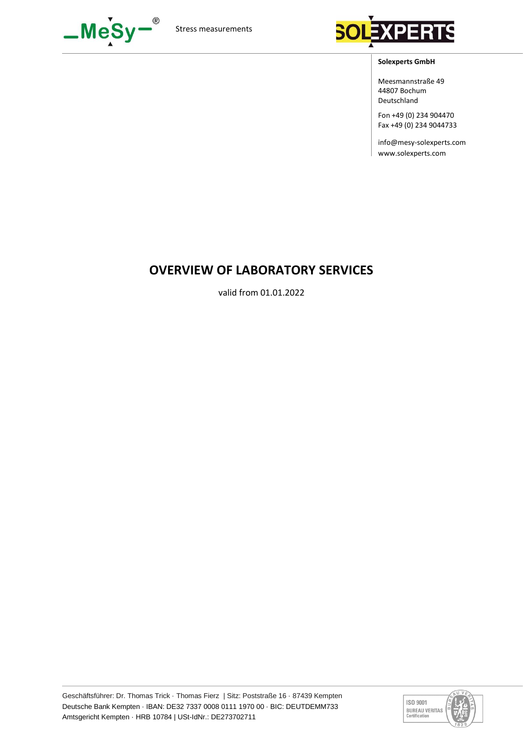



#### **Solexperts GmbH**

Meesmannstraße 49 44807 Bochum Deutschland

Fon +49 (0) 234 904470 Fax +49 (0) 234 9044733

info@mesy-solexperts.com www.solexperts.com

# **OVERVIEW OF LABORATORY SERVICES**

valid from 01.01.2022

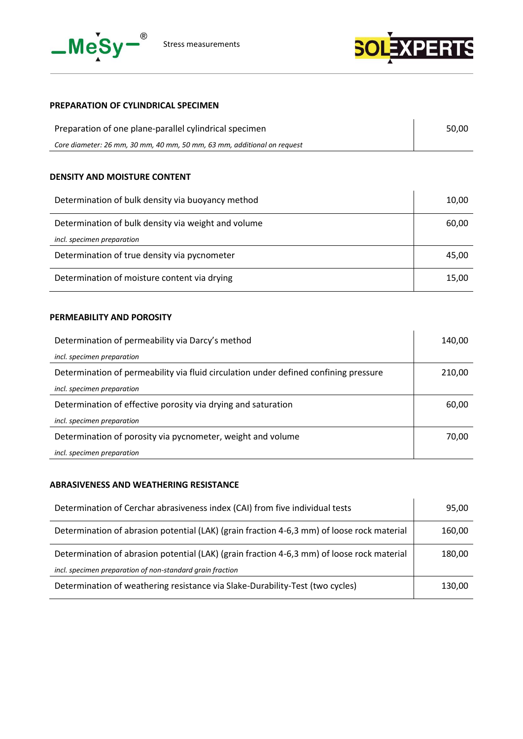



# **PREPARATION OF CYLINDRICAL SPECIMEN**

| Preparation of one plane-parallel cylindrical specimen                  | 50.00 |
|-------------------------------------------------------------------------|-------|
| Core diameter: 26 mm, 30 mm, 40 mm, 50 mm, 63 mm, additional on request |       |

#### **DENSITY AND MOISTURE CONTENT**

| Determination of bulk density via buoyancy method   | 10.00 |
|-----------------------------------------------------|-------|
| Determination of bulk density via weight and volume | 60,00 |
| incl. specimen preparation                          |       |
| Determination of true density via pycnometer        | 45.00 |
| Determination of moisture content via drying        | 15.00 |

#### **PERMEABILITY AND POROSITY**

| Determination of permeability via Darcy's method                                     | 140.00 |
|--------------------------------------------------------------------------------------|--------|
| incl. specimen preparation                                                           |        |
| Determination of permeability via fluid circulation under defined confining pressure | 210,00 |
| incl. specimen preparation                                                           |        |
| Determination of effective porosity via drying and saturation                        | 60,00  |
| incl. specimen preparation                                                           |        |
| Determination of porosity via pycnometer, weight and volume                          | 70.00  |
| incl. specimen preparation                                                           |        |

#### **ABRASIVENESS AND WEATHERING RESISTANCE**

| Determination of Cerchar abrasiveness index (CAI) from five individual tests               |        |
|--------------------------------------------------------------------------------------------|--------|
| Determination of abrasion potential (LAK) (grain fraction 4-6,3 mm) of loose rock material | 160,00 |
| Determination of abrasion potential (LAK) (grain fraction 4-6,3 mm) of loose rock material | 180,00 |
| incl. specimen preparation of non-standard grain fraction                                  |        |
| Determination of weathering resistance via Slake-Durability-Test (two cycles)              | 130,00 |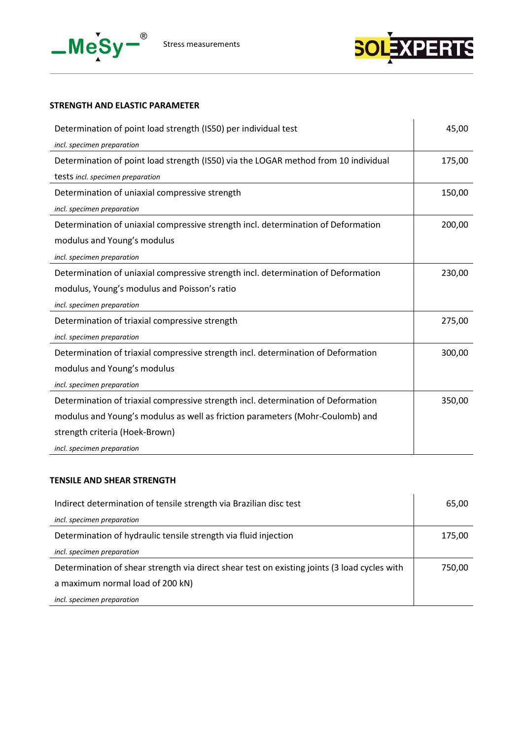



## **STRENGTH AND ELASTIC PARAMETER**

| Determination of point load strength (IS50) per individual test                     | 45,00  |
|-------------------------------------------------------------------------------------|--------|
| incl. specimen preparation                                                          |        |
| Determination of point load strength (IS50) via the LOGAR method from 10 individual | 175,00 |
| tests incl. specimen preparation                                                    |        |
| Determination of uniaxial compressive strength                                      | 150,00 |
| incl. specimen preparation                                                          |        |
| Determination of uniaxial compressive strength incl. determination of Deformation   | 200,00 |
| modulus and Young's modulus                                                         |        |
| incl. specimen preparation                                                          |        |
| Determination of uniaxial compressive strength incl. determination of Deformation   | 230,00 |
| modulus, Young's modulus and Poisson's ratio                                        |        |
| incl. specimen preparation                                                          |        |
| Determination of triaxial compressive strength                                      | 275,00 |
| incl. specimen preparation                                                          |        |
| Determination of triaxial compressive strength incl. determination of Deformation   | 300,00 |
| modulus and Young's modulus                                                         |        |
| incl. specimen preparation                                                          |        |
| Determination of triaxial compressive strength incl. determination of Deformation   | 350,00 |
| modulus and Young's modulus as well as friction parameters (Mohr-Coulomb) and       |        |
| strength criteria (Hoek-Brown)                                                      |        |
| incl. specimen preparation                                                          |        |

#### **TENSILE AND SHEAR STRENGTH**

| Indirect determination of tensile strength via Brazilian disc test                           | 65,00  |
|----------------------------------------------------------------------------------------------|--------|
| incl. specimen preparation                                                                   |        |
| Determination of hydraulic tensile strength via fluid injection                              | 175,00 |
| incl. specimen preparation                                                                   |        |
| Determination of shear strength via direct shear test on existing joints (3 load cycles with | 750.00 |
| a maximum normal load of 200 kN)                                                             |        |
| incl. specimen preparation                                                                   |        |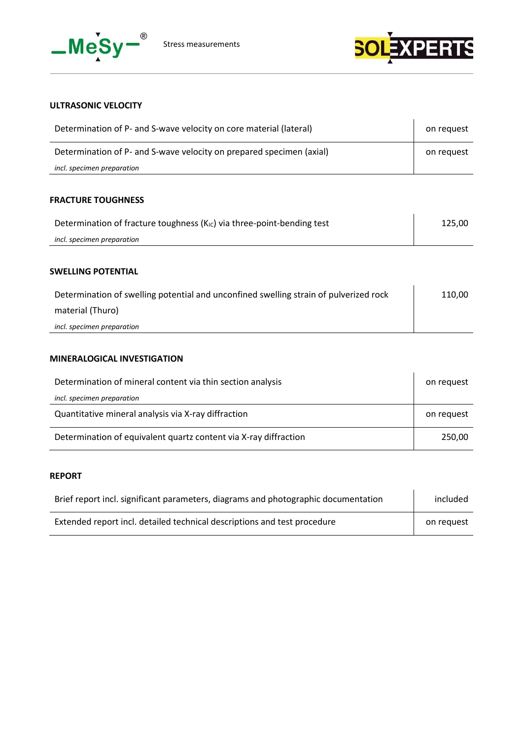



# **ULTRASONIC VELOCITY**

| Determination of P- and S-wave velocity on core material (lateral)   |  |
|----------------------------------------------------------------------|--|
| Determination of P- and S-wave velocity on prepared specimen (axial) |  |
| incl. specimen preparation                                           |  |

#### **FRACTURE TOUGHNESS**

| Determination of fracture toughness $(K_{IC})$ via three-point-bending test | 125.00 |
|-----------------------------------------------------------------------------|--------|
| incl. specimen preparation                                                  |        |

#### **SWELLING POTENTIAL**

| Determination of swelling potential and unconfined swelling strain of pulverized rock | 110,00 |
|---------------------------------------------------------------------------------------|--------|
| material (Thuro)                                                                      |        |
| incl. specimen preparation                                                            |        |

## **MINERALOGICAL INVESTIGATION**

| Determination of mineral content via thin section analysis       |            |
|------------------------------------------------------------------|------------|
| incl. specimen preparation                                       |            |
| Quantitative mineral analysis via X-ray diffraction              | on request |
| Determination of equivalent quartz content via X-ray diffraction | 250,00     |

# **REPORT**

| Brief report incl. significant parameters, diagrams and photographic documentation |            |
|------------------------------------------------------------------------------------|------------|
| Extended report incl. detailed technical descriptions and test procedure           | on request |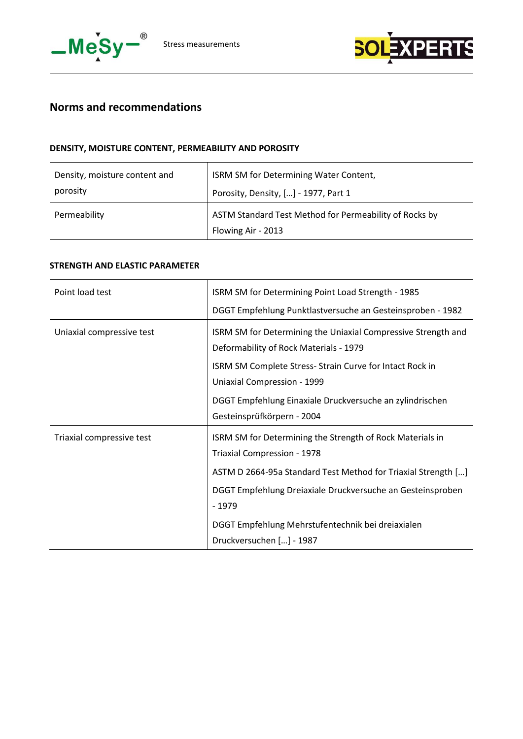



# **Norms and recommendations**

## **DENSITY, MOISTURE CONTENT, PERMEABILITY AND POROSITY**

| Density, moisture content and | ISRM SM for Determining Water Content,                                       |
|-------------------------------|------------------------------------------------------------------------------|
| porosity                      | Porosity, Density, [] - 1977, Part 1                                         |
| Permeability                  | ASTM Standard Test Method for Permeability of Rocks by<br>Flowing Air - 2013 |

## **STRENGTH AND ELASTIC PARAMETER**

| Point load test           | ISRM SM for Determining Point Load Strength - 1985                                                                                                                                                                                                                                                                  |
|---------------------------|---------------------------------------------------------------------------------------------------------------------------------------------------------------------------------------------------------------------------------------------------------------------------------------------------------------------|
|                           | DGGT Empfehlung Punktlastversuche an Gesteinsproben - 1982                                                                                                                                                                                                                                                          |
| Uniaxial compressive test | ISRM SM for Determining the Uniaxial Compressive Strength and<br>Deformability of Rock Materials - 1979<br>ISRM SM Complete Stress- Strain Curve for Intact Rock in<br>Uniaxial Compression - 1999<br>DGGT Empfehlung Einaxiale Druckversuche an zylindrischen<br>Gesteinsprüfkörpern - 2004                        |
| Triaxial compressive test | ISRM SM for Determining the Strength of Rock Materials in<br>Triaxial Compression - 1978<br>ASTM D 2664-95a Standard Test Method for Triaxial Strength []<br>DGGT Empfehlung Dreiaxiale Druckversuche an Gesteinsproben<br>$-1979$<br>DGGT Empfehlung Mehrstufentechnik bei dreiaxialen<br>Druckversuchen [] - 1987 |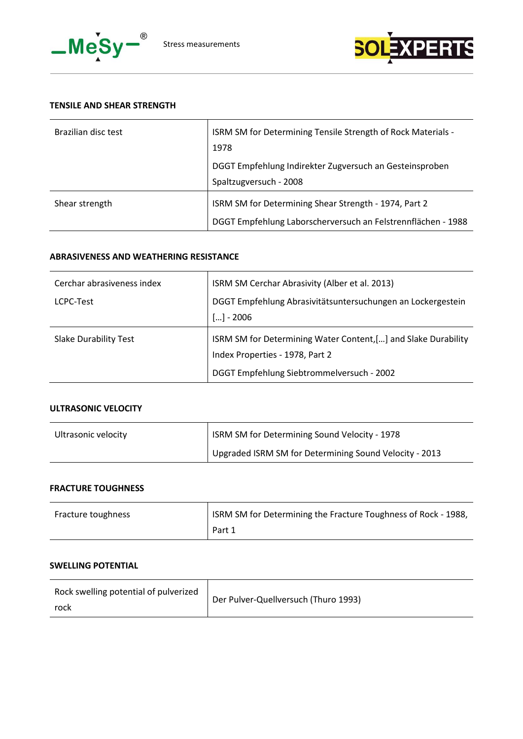



## **TENSILE AND SHEAR STRENGTH**

| Brazilian disc test | ISRM SM for Determining Tensile Strength of Rock Materials -<br>1978                                                  |
|---------------------|-----------------------------------------------------------------------------------------------------------------------|
|                     | DGGT Empfehlung Indirekter Zugversuch an Gesteinsproben<br>Spaltzugversuch - 2008                                     |
| Shear strength      | ISRM SM for Determining Shear Strength - 1974, Part 2<br>DGGT Empfehlung Laborscherversuch an Felstrennflächen - 1988 |

#### **ABRASIVENESS AND WEATHERING RESISTANCE**

| Cerchar abrasiveness index   | ISRM SM Cerchar Abrasivity (Alber et al. 2013)                                                   |
|------------------------------|--------------------------------------------------------------------------------------------------|
| LCPC-Test                    | DGGT Empfehlung Abrasivitätsuntersuchungen an Lockergestein                                      |
|                              | $[] - 2006$                                                                                      |
| <b>Slake Durability Test</b> | ISRM SM for Determining Water Content,[] and Slake Durability<br>Index Properties - 1978, Part 2 |
|                              | DGGT Empfehlung Siebtrommelversuch - 2002                                                        |

# **ULTRASONIC VELOCITY**

| Ultrasonic velocity | ISRM SM for Determining Sound Velocity - 1978          |
|---------------------|--------------------------------------------------------|
|                     | Upgraded ISRM SM for Determining Sound Velocity - 2013 |

#### **FRACTURE TOUGHNESS**

| Fracture toughness | ISRM SM for Determining the Fracture Toughness of Rock - 1988, |
|--------------------|----------------------------------------------------------------|
|                    | Part 1                                                         |

# **SWELLING POTENTIAL**

| Rock swelling potential of pulverized | Der Pulver-Quellversuch (Thuro 1993) |
|---------------------------------------|--------------------------------------|
| rock                                  |                                      |